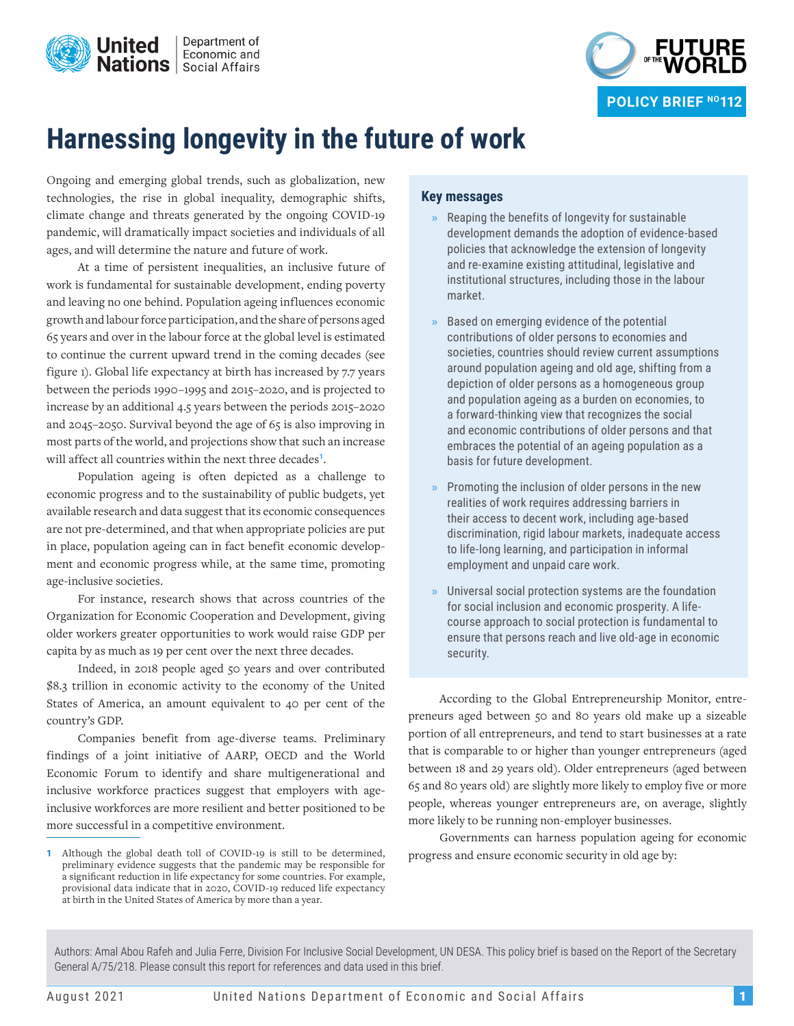



# **Harnessing longevity in the future of work**

Ongoing and emerging global trends, such as globalization, new technologies, the rise in global inequality, demographic shifts, climate change and threats generated by the ongoing COVID-19 pandemic, will dramatically impact societies and individuals of all ages, and will determine the nature and future of work.

At a time of persistent inequalities, an inclusive future of work is fundamental for sustainable development, ending poverty and leaving no one behind. Population ageing influences economic growth and labour force participation, and the share of persons aged 65 years and over in the labour force at the global level is estimated to continue the current upward trend in the coming decades (see figure 1). Global life expectancy at birth has increased by 7.7 years between the periods 1990–1995 and 2015–2020, and is projected to increase by an additional 4.5 years between the periods 2015–2020 and 2045–2050. Survival beyond the age of 65 is also improving in most parts of the world, and projections show that such an increase will affect all countries within the next three decades**<sup>1</sup>**.

Population ageing is often depicted as a challenge to economic progress and to the sustainability of public budgets, yet available research and data suggest that its economic consequences are not pre-determined, and that when appropriate policies are put in place, population ageing can in fact benefit economic development and economic progress while, at the same time, promoting age-inclusive societies.

For instance, research shows that across countries of the Organization for Economic Cooperation and Development, giving older workers greater opportunities to work would raise GDP per capita by as much as 19 per cent over the next three decades.

Indeed, in 2018 people aged 50 years and over contributed \$8.3 trillion in economic activity to the economy of the United States of America, an amount equivalent to 40 per cent of the country's GDP.

Companies benefit from age-diverse teams. Preliminary findings of a joint initiative of AARP, OECD and the World Economic Forum to identify and share multigenerational and inclusive workforce practices suggest that employers with ageinclusive workforces are more resilient and better positioned to be more successful in a competitive environment.

### **Key messages**

- **»** Reaping the benefits of longevity for sustainable development demands the adoption of evidence-based policies that acknowledge the extension of longevity and re-examine existing attitudinal, legislative and institutional structures, including those in the labour market.
- **»** Based on emerging evidence of the potential contributions of older persons to economies and societies, countries should review current assumptions around population ageing and old age, shifting from a depiction of older persons as a homogeneous group and population ageing as a burden on economies, to a forward-thinking view that recognizes the social and economic contributions of older persons and that embraces the potential of an ageing population as a basis for future development.
- **»** Promoting the inclusion of older persons in the new realities of work requires addressing barriers in their access to decent work, including age-based discrimination, rigid labour markets, inadequate access to life-long learning, and participation in informal employment and unpaid care work.
- **»** Universal social protection systems are the foundation for social inclusion and economic prosperity. A lifecourse approach to social protection is fundamental to ensure that persons reach and live old-age in economic security.

According to the Global Entrepreneurship Monitor, entrepreneurs aged between 50 and 80 years old make up a sizeable portion of all entrepreneurs, and tend to start businesses at a rate that is comparable to or higher than younger entrepreneurs (aged between 18 and 29 years old). Older entrepreneurs (aged between 65 and 80 years old) are slightly more likely to employ five or more people, whereas younger entrepreneurs are, on average, slightly more likely to be running non-employer businesses.

Governments can harness population ageing for economic progress and ensure economic security in old age by:

Authors: Amal Abou Rafeh and Julia Ferre, Division For Inclusive Social Development, UN DESA. This policy brief is based on the Report of the Secretary General A/75/218. Please consult this report for references and data used in this brief.

**<sup>1</sup>** Although the global death toll of COVID-19 is still to be determined, preliminary evidence suggests that the pandemic may be responsible for a significant reduction in life expectancy for some countries. For example, provisional data indicate that in 2020, COVID-19 reduced life expectancy at birth in the United States of America by more than a year.